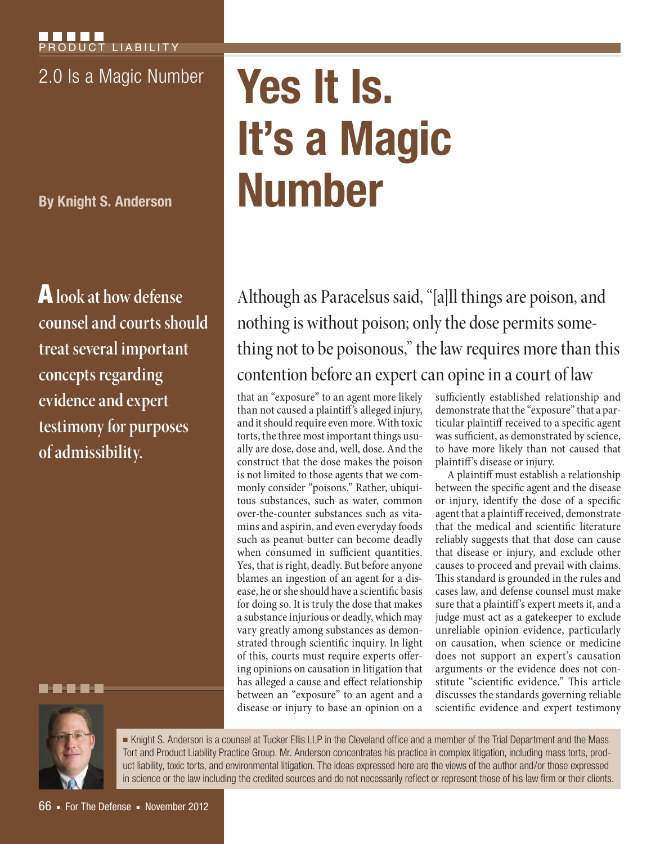**By Knight S. Anderson**

A **look at how defense counsel and courts should treat several important concepts regarding evidence and expert testimony for purposes of admissibility.**

# 2.0 Is a Magic Number **Yes It Is. It's a Magic Number**

Although as Paracelsus said, "[a]ll things are poison, and nothing is without poison; only the dose permits something not to be poisonous," the law requires more than this contention before an expert can opine in a court of law

that an "exposure" to an agent more likely than not caused a plaintiff's alleged injury, and it should require even more. With toxic torts, the three most important things usually are dose, dose and, well, dose. And the construct that the dose makes the poison is not limited to those agents that we commonly consider "poisons." Rather, ubiquitous substances, such as water, common over-the-counter substances such as vitamins and aspirin, and even everyday foods such as peanut butter can become deadly when consumed in sufficient quantities. Yes, that is right, deadly. But before anyone blames an ingestion of an agent for a disease, he or she should have a scientific basis for doing so. It is truly the dose that makes a substance injurious or deadly, which may vary greatly among substances as demonstrated through scientific inquiry. In light of this, courts must require experts offering opinions on causation in litigation that has alleged a cause and effect relationship between an "exposure" to an agent and a disease or injury to base an opinion on a

sufficiently established relationship and demonstrate that the "exposure" that a particular plaintiff received to a specific agent was sufficient, as demonstrated by science, to have more likely than not caused that plaintiff's disease or injury.

A plaintiff must establish a relationship between the specific agent and the disease or injury, identify the dose of a specific agent that a plaintiff received, demonstrate that the medical and scientific literature reliably suggests that that dose can cause that disease or injury, and exclude other causes to proceed and prevail with claims. This standard is grounded in the rules and cases law, and defense counsel must make sure that a plaintiff's expert meets it, and a judge must act as a gatekeeper to exclude unreliable opinion evidence, particularly on causation, when science or medicine does not support an expert's causation arguments or the evidence does not constitute "scientific evidence." This article discusses the standards governing reliable scientific evidence and expert testimony



■ Knight S. Anderson is a counsel at Tucker Ellis LLP in the Cleveland office and a member of the Trial Department and the Mass Tort and Product Liability Practice Group. Mr. Anderson concentrates his practice in complex litigation, including mass torts, product liability, toxic torts, and environmental litigation. The ideas expressed here are the views of the author and/or those expressed in science or the law including the credited sources and do not necessarily reflect or represent those of his law firm or their clients.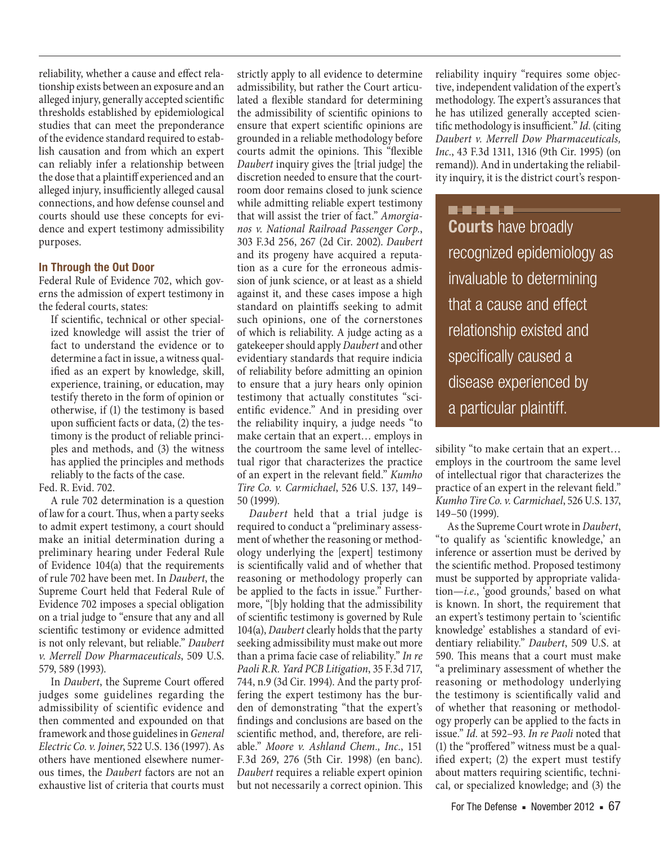reliability, whether a cause and effect relationship exists between an exposure and an alleged injury, generally accepted scientific thresholds established by epidemiological studies that can meet the preponderance of the evidence standard required to establish causation and from which an expert can reliably infer a relationship between the dose that a plaintiff experienced and an alleged injury, insufficiently alleged causal connections, and how defense counsel and courts should use these concepts for evidence and expert testimony admissibility purposes.

### **In Through the Out Door**

Federal Rule of Evidence 702, which governs the admission of expert testimony in the federal courts, states:

If scientific, technical or other specialized knowledge will assist the trier of fact to understand the evidence or to determine a fact in issue, a witness qualified as an expert by knowledge, skill, experience, training, or education, may testify thereto in the form of opinion or otherwise, if (1) the testimony is based upon sufficient facts or data, (2) the testimony is the product of reliable principles and methods, and (3) the witness has applied the principles and methods reliably to the facts of the case.

Fed. R. Evid. 702.

A rule 702 determination is a question of law for a court. Thus, when a party seeks to admit expert testimony, a court should make an initial determination during a preliminary hearing under Federal Rule of Evidence 104(a) that the requirements of rule 702 have been met. In *Daubert*, the Supreme Court held that Federal Rule of Evidence 702 imposes a special obligation on a trial judge to "ensure that any and all scientific testimony or evidence admitted is not only relevant, but reliable." *Daubert v. Merrell Dow Pharmaceuticals*, 509 U.S. 579, 589 (1993).

In *Daubert*, the Supreme Court offered judges some guidelines regarding the admissibility of scientific evidence and then commented and expounded on that framework and those guidelines in *General Electric Co. v. Joiner*, 522 U.S. 136 (1997). As others have mentioned elsewhere numerous times, the *Daubert* factors are not an exhaustive list of criteria that courts must

strictly apply to all evidence to determine admissibility, but rather the Court articulated a flexible standard for determining the admissibility of scientific opinions to ensure that expert scientific opinions are grounded in a reliable methodology before courts admit the opinions. This "flexible *Daubert* inquiry gives the [trial judge] the discretion needed to ensure that the courtroom door remains closed to junk science while admitting reliable expert testimony that will assist the trier of fact." *Amorgianos v. National Railroad Passenger Corp.*, 303 F.3d 256, 267 (2d Cir. 2002). *Daubert* and its progeny have acquired a reputation as a cure for the erroneous admission of junk science, or at least as a shield against it, and these cases impose a high standard on plaintiffs seeking to admit such opinions, one of the cornerstones of which is reliability. A judge acting as a gatekeeper should apply *Daubert* and other evidentiary standards that require indicia of reliability before admitting an opinion to ensure that a jury hears only opinion testimony that actually constitutes "scientific evidence." And in presiding over the reliability inquiry, a judge needs "to make certain that an expert… employs in the courtroom the same level of intellectual rigor that characterizes the practice of an expert in the relevant field." *Kumho Tire Co. v. Carmichael*, 526 U.S. 137, 149– 50 (1999).

*Daubert* held that a trial judge is required to conduct a "preliminary assessment of whether the reasoning or methodology underlying the [expert] testimony is scientifically valid and of whether that reasoning or methodology properly can be applied to the facts in issue." Furthermore, "[b]y holding that the admissibility of scientific testimony is governed by Rule 104(a), *Daubert* clearly holds that the party seeking admissibility must make out more than a prima facie case of reliability." *In re Paoli R.R. Yard PCB Litigation*, 35 F.3d 717, 744, n.9 (3d Cir. 1994). And the party proffering the expert testimony has the burden of demonstrating "that the expert's findings and conclusions are based on the scientific method, and, therefore, are reliable." *Moore v. Ashland Chem., Inc.*, 151 F.3d 269, 276 (5th Cir. 1998) (en banc). *Daubert* requires a reliable expert opinion but not necessarily a correct opinion. This

reliability inquiry "requires some objective, independent validation of the expert's methodology. The expert's assurances that he has utilized generally accepted scientific methodology is insufficient." *Id.* (citing *Daubert v. Merrell Dow Pharmaceuticals, Inc.*, 43 F.3d 1311, 1316 (9th Cir. 1995) (on remand)). And in undertaking the reliability inquiry, it is the district court's respon-

..... **Courts** have broadly recognized epidemiology as invaluable to determining that a cause and effect relationship existed and specifically caused a disease experienced by a particular plaintiff.

sibility "to make certain that an expert… employs in the courtroom the same level of intellectual rigor that characterizes the practice of an expert in the relevant field." *Kumho Tire Co. v. Carmichael*, 526 U.S. 137, 149–50 (1999).

As the Supreme Court wrote in *Daubert*, "to qualify as 'scientific knowledge,' an inference or assertion must be derived by the scientific method. Proposed testimony must be supported by appropriate validation—*i.e.*, 'good grounds,' based on what is known. In short, the requirement that an expert's testimony pertain to 'scientific knowledge' establishes a standard of evidentiary reliability." *Daubert*, 509 U.S. at 590. This means that a court must make "a preliminary assessment of whether the reasoning or methodology underlying the testimony is scientifically valid and of whether that reasoning or methodology properly can be applied to the facts in issue." *Id.* at 592–93. *In re Paoli* noted that (1) the "proffered" witness must be a qualified expert; (2) the expert must testify about matters requiring scientific, technical, or specialized knowledge; and (3) the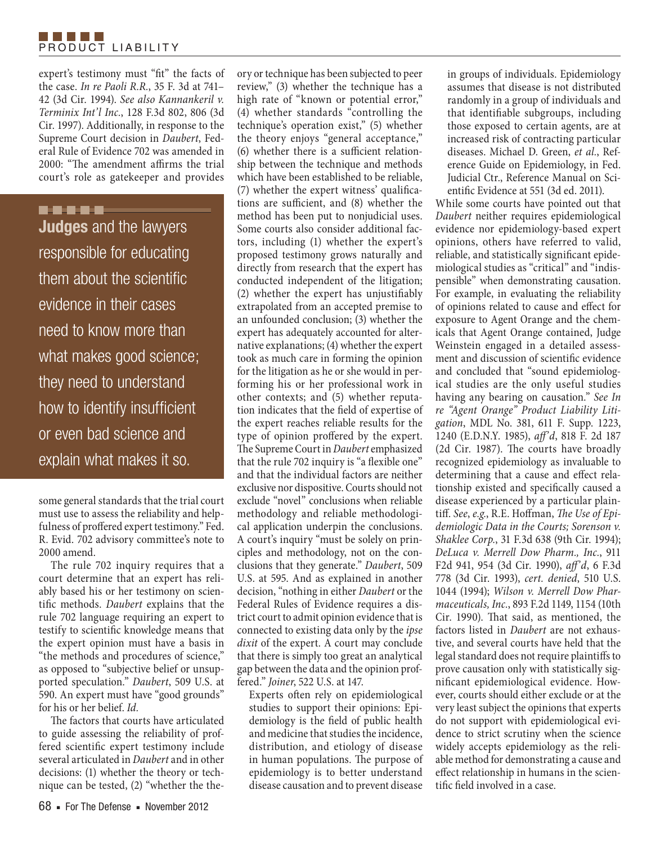

expert's testimony must "fit" the facts of the case. *In re Paoli R.R.*, 35 F. 3d at 741– 42 (3d Cir. 1994). *See also Kannankeril v. Terminix Int'l Inc.*, 128 F.3d 802, 806 (3d Cir. 1997). Additionally, in response to the Supreme Court decision in *Daubert*, Federal Rule of Evidence 702 was amended in 2000: "The amendment affirms the trial court's role as gatekeeper and provides

# -----

**Judges** and the lawyers responsible for educating them about the scientific evidence in their cases need to know more than what makes good science; they need to understand how to identify insufficient or even bad science and explain what makes it so.

some general standards that the trial court must use to assess the reliability and helpfulness of proffered expert testimony." Fed. R. Evid. 702 advisory committee's note to 2000 amend.

The rule 702 inquiry requires that a court determine that an expert has reliably based his or her testimony on scientific methods. *Daubert* explains that the rule 702 language requiring an expert to testify to scientific knowledge means that the expert opinion must have a basis in "the methods and procedures of science," as opposed to "subjective belief or unsupported speculation." *Daubert*, 509 U.S. at 590. An expert must have "good grounds" for his or her belief. *Id.*

The factors that courts have articulated to guide assessing the reliability of proffered scientific expert testimony include several articulated in *Daubert* and in other decisions: (1) whether the theory or technique can be tested, (2) "whether the the-

review," (3) whether the technique has a high rate of "known or potential error," (4) whether standards "controlling the technique's operation exist," (5) whether the theory enjoys "general acceptance," (6) whether there is a sufficient relationship between the technique and methods which have been established to be reliable, (7) whether the expert witness' qualifications are sufficient, and (8) whether the method has been put to nonjudicial uses. Some courts also consider additional factors, including (1) whether the expert's proposed testimony grows naturally and directly from research that the expert has conducted independent of the litigation; (2) whether the expert has unjustifiably extrapolated from an accepted premise to an unfounded conclusion; (3) whether the expert has adequately accounted for alternative explanations; (4) whether the expert took as much care in forming the opinion for the litigation as he or she would in performing his or her professional work in other contexts; and (5) whether reputation indicates that the field of expertise of the expert reaches reliable results for the type of opinion proffered by the expert. The Supreme Court in *Daubert* emphasized that the rule 702 inquiry is "a flexible one" and that the individual factors are neither exclusive nor dispositive. Courts should not exclude "novel" conclusions when reliable methodology and reliable methodological application underpin the conclusions. A court's inquiry "must be solely on principles and methodology, not on the conclusions that they generate." *Daubert*, 509 U.S. at 595. And as explained in another decision, "nothing in either *Daubert* or the Federal Rules of Evidence requires a district court to admit opinion evidence that is connected to existing data only by the *ipse dixit* of the expert. A court may conclude that there is simply too great an analytical gap between the data and the opinion proffered." *Joiner*, 522 U.S. at 147.

ory or technique has been subjected to peer

Experts often rely on epidemiological studies to support their opinions: Epidemiology is the field of public health and medicine that studies the incidence, distribution, and etiology of disease in human populations. The purpose of epidemiology is to better understand disease causation and to prevent disease in groups of individuals. Epidemiology assumes that disease is not distributed randomly in a group of individuals and that identifiable subgroups, including those exposed to certain agents, are at increased risk of contracting particular diseases. Michael D. Green, *et al.*, Reference Guide on Epidemiology, in Fed. Judicial Ctr., Reference Manual on Scientific Evidence at 551 (3d ed. 2011).

While some courts have pointed out that *Daubert* neither requires epidemiological evidence nor epidemiology-based expert opinions, others have referred to valid, reliable, and statistically significant epidemiological studies as "critical" and "indispensible" when demonstrating causation. For example, in evaluating the reliability of opinions related to cause and effect for exposure to Agent Orange and the chemicals that Agent Orange contained, Judge Weinstein engaged in a detailed assessment and discussion of scientific evidence and concluded that "sound epidemiological studies are the only useful studies having any bearing on causation." *See In re "Agent Orange" Product Liability Litigation*, MDL No. 381, 611 F. Supp. 1223, 1240 (E.D.N.Y. 1985), *aff'd*, 818 F. 2d 187 (2d Cir. 1987). The courts have broadly recognized epidemiology as invaluable to determining that a cause and effect relationship existed and specifically caused a disease experienced by a particular plaintiff. *See*, *e.g.*, R.E. Hoffman, *The Use of Epidemiologic Data in the Courts; Sorenson v. Shaklee Corp.*, 31 F.3d 638 (9th Cir. 1994); *DeLuca v. Merrell Dow Pharm., Inc.*, 911 F2d 941, 954 (3d Cir. 1990), *aff'd*, 6 F.3d 778 (3d Cir. 1993), *cert. denied*, 510 U.S. 1044 (1994); *Wilson v. Merrell Dow Pharmaceuticals, Inc.*, 893 F.2d 1149, 1154 (10th Cir. 1990). That said, as mentioned, the factors listed in *Daubert* are not exhaustive, and several courts have held that the legal standard does not require plaintiffs to prove causation only with statistically significant epidemiological evidence. However, courts should either exclude or at the very least subject the opinions that experts do not support with epidemiological evidence to strict scrutiny when the science widely accepts epidemiology as the reliable method for demonstrating a cause and effect relationship in humans in the scientific field involved in a case.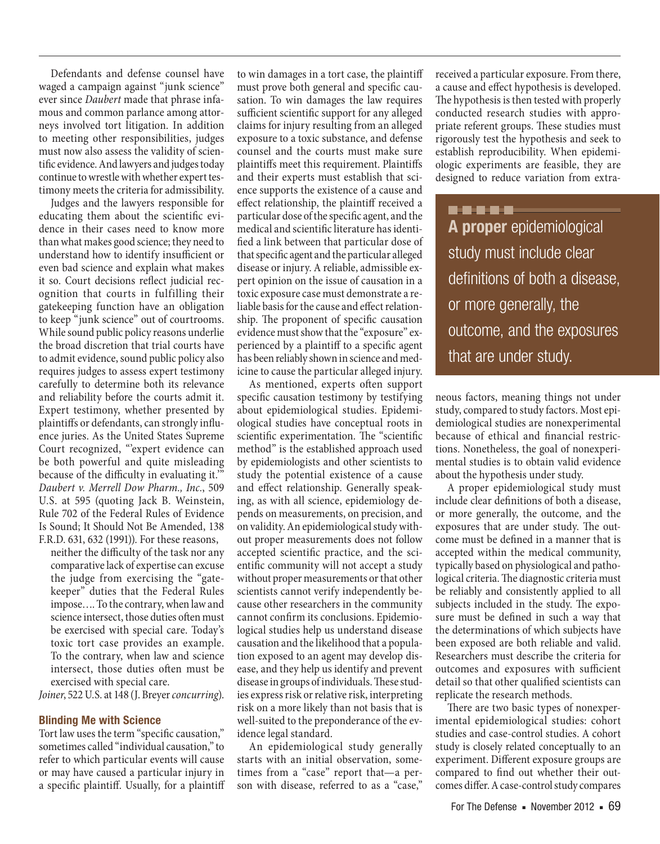Defendants and defense counsel have waged a campaign against "junk science" ever since *Daubert* made that phrase infamous and common parlance among attorneys involved tort litigation. In addition to meeting other responsibilities, judges must now also assess the validity of scientific evidence. And lawyers and judges today continue to wrestle with whether expert testimony meets the criteria for admissibility.

Judges and the lawyers responsible for educating them about the scientific evidence in their cases need to know more than what makes good science; they need to understand how to identify insufficient or even bad science and explain what makes it so. Court decisions reflect judicial recognition that courts in fulfilling their gatekeeping function have an obligation to keep "junk science" out of courtrooms. While sound public policy reasons underlie the broad discretion that trial courts have to admit evidence, sound public policy also requires judges to assess expert testimony carefully to determine both its relevance and reliability before the courts admit it. Expert testimony, whether presented by plaintiffs or defendants, can strongly influence juries. As the United States Supreme Court recognized, "expert evidence can be both powerful and quite misleading because of the difficulty in evaluating it.'" *Daubert v. Merrell Dow Pharm., Inc.*, 509 U.S. at 595 (quoting Jack B. Weinstein, Rule 702 of the Federal Rules of Evidence Is Sound; It Should Not Be Amended, 138 F.R.D. 631, 632 (1991)). For these reasons,

neither the difficulty of the task nor any comparative lack of expertise can excuse the judge from exercising the "gatekeeper" duties that the Federal Rules impose…. To the contrary, when law and science intersect, those duties often must be exercised with special care. Today's toxic tort case provides an example. To the contrary, when law and science intersect, those duties often must be exercised with special care.

*Joiner*, 522 U.S. at 148 (J. Breyer *concurring*).

#### **Blinding Me with Science**

Tort law uses the term "specific causation," sometimes called "individual causation," to refer to which particular events will cause or may have caused a particular injury in a specific plaintiff. Usually, for a plaintiff

to win damages in a tort case, the plaintiff must prove both general and specific causation. To win damages the law requires sufficient scientific support for any alleged claims for injury resulting from an alleged exposure to a toxic substance, and defense counsel and the courts must make sure plaintiffs meet this requirement. Plaintiffs and their experts must establish that science supports the existence of a cause and effect relationship, the plaintiff received a particular dose of the specific agent, and the medical and scientific literature has identified a link between that particular dose of that specific agent and the particular alleged disease or injury. A reliable, admissible expert opinion on the issue of causation in a toxic exposure case must demonstrate a reliable basis for the cause and effect relationship. The proponent of specific causation evidence must show that the "exposure" experienced by a plaintiff to a specific agent has been reliably shown in science and medicine to cause the particular alleged injury.

As mentioned, experts often support specific causation testimony by testifying about epidemiological studies. Epidemiological studies have conceptual roots in scientific experimentation. The "scientific method" is the established approach used by epidemiologists and other scientists to study the potential existence of a cause and effect relationship. Generally speaking, as with all science, epidemiology depends on measurements, on precision, and on validity. An epidemiological study without proper measurements does not follow accepted scientific practice, and the scientific community will not accept a study without proper measurements or that other scientists cannot verify independently because other researchers in the community cannot confirm its conclusions. Epidemiological studies help us understand disease causation and the likelihood that a population exposed to an agent may develop disease, and they help us identify and prevent disease in groups of individuals. These studies express risk or relative risk, interpreting risk on a more likely than not basis that is well-suited to the preponderance of the evidence legal standard.

An epidemiological study generally starts with an initial observation, sometimes from a "case" report that—a person with disease, referred to as a "case,"

received a particular exposure. From there, a cause and effect hypothesis is developed. The hypothesis is then tested with properly conducted research studies with appropriate referent groups. These studies must rigorously test the hypothesis and seek to establish reproducibility. When epidemiologic experiments are feasible, they are designed to reduce variation from extra-

..... **A proper** epidemiological study must include clear definitions of both a disease, or more generally, the outcome, and the exposures that are under study.

neous factors, meaning things not under study, compared to study factors. Most epidemiological studies are nonexperimental because of ethical and financial restrictions. Nonetheless, the goal of nonexperimental studies is to obtain valid evidence about the hypothesis under study.

A proper epidemiological study must include clear definitions of both a disease, or more generally, the outcome, and the exposures that are under study. The outcome must be defined in a manner that is accepted within the medical community, typically based on physiological and pathological criteria. The diagnostic criteria must be reliably and consistently applied to all subjects included in the study. The exposure must be defined in such a way that the determinations of which subjects have been exposed are both reliable and valid. Researchers must describe the criteria for outcomes and exposures with sufficient detail so that other qualified scientists can replicate the research methods.

There are two basic types of nonexperimental epidemiological studies: cohort studies and case-control studies. A cohort study is closely related conceptually to an experiment. Different exposure groups are compared to find out whether their outcomes differ. A case-control study compares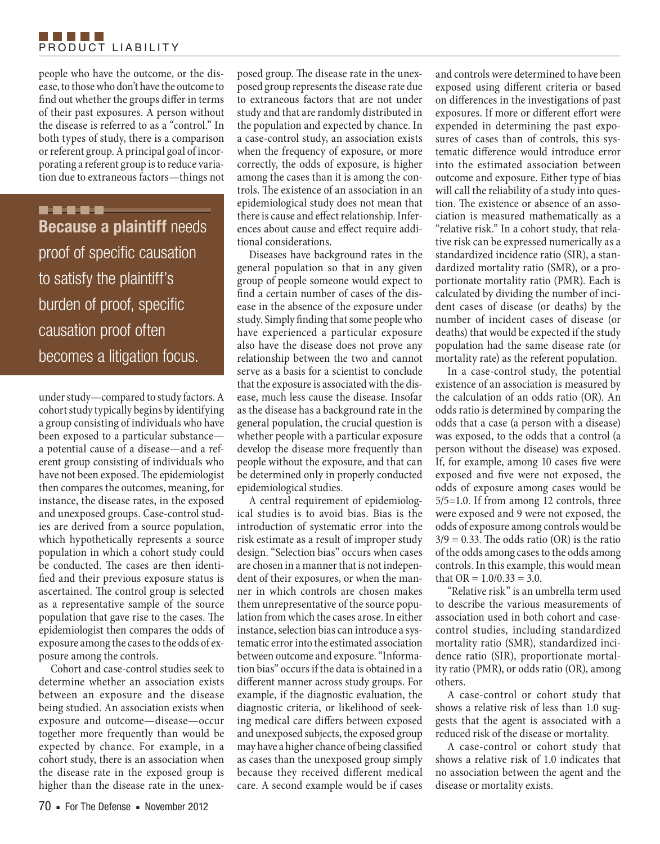## TI FI FI FI FI PRODUCT LIABILITY

people who have the outcome, or the disease, to those who don't have the outcome to find out whether the groups differ in terms of their past exposures. A person without the disease is referred to as a "control." In both types of study, there is a comparison or referent group. A principal goal of incorporating a referent group is to reduce variation due to extraneous factors—things not

-----**Because a plaintiff** needs proof of specific causation to satisfy the plaintiff's burden of proof, specific causation proof often becomes a litigation focus.

under study—compared to study factors. A cohort study typically begins by identifying a group consisting of individuals who have been exposed to a particular substance a potential cause of a disease—and a referent group consisting of individuals who have not been exposed. The epidemiologist then compares the outcomes, meaning, for instance, the disease rates, in the exposed and unexposed groups. Case-control studies are derived from a source population, which hypothetically represents a source population in which a cohort study could be conducted. The cases are then identified and their previous exposure status is ascertained. The control group is selected as a representative sample of the source population that gave rise to the cases. The epidemiologist then compares the odds of exposure among the cases to the odds of exposure among the controls.

Cohort and case-control studies seek to determine whether an association exists between an exposure and the disease being studied. An association exists when exposure and outcome—disease—occur together more frequently than would be expected by chance. For example, in a cohort study, there is an association when the disease rate in the exposed group is higher than the disease rate in the unex-

posed group. The disease rate in the unexposed group represents the disease rate due to extraneous factors that are not under study and that are randomly distributed in the population and expected by chance. In a case-control study, an association exists when the frequency of exposure, or more correctly, the odds of exposure, is higher among the cases than it is among the controls. The existence of an association in an epidemiological study does not mean that there is cause and effect relationship. Inferences about cause and effect require additional considerations.

Diseases have background rates in the general population so that in any given group of people someone would expect to find a certain number of cases of the disease in the absence of the exposure under study. Simply finding that some people who have experienced a particular exposure also have the disease does not prove any relationship between the two and cannot serve as a basis for a scientist to conclude that the exposure is associated with the disease, much less cause the disease. Insofar as the disease has a background rate in the general population, the crucial question is whether people with a particular exposure develop the disease more frequently than people without the exposure, and that can be determined only in properly conducted epidemiological studies.

A central requirement of epidemiological studies is to avoid bias. Bias is the introduction of systematic error into the risk estimate as a result of improper study design. "Selection bias" occurs when cases are chosen in a manner that is not independent of their exposures, or when the manner in which controls are chosen makes them unrepresentative of the source population from which the cases arose. In either instance, selection bias can introduce a systematic error into the estimated association between outcome and exposure. "Information bias" occurs if the data is obtained in a different manner across study groups. For example, if the diagnostic evaluation, the diagnostic criteria, or likelihood of seeking medical care differs between exposed and unexposed subjects, the exposed group may have a higher chance of being classified as cases than the unexposed group simply because they received different medical care. A second example would be if cases

and controls were determined to have been exposed using different criteria or based on differences in the investigations of past exposures. If more or different effort were expended in determining the past exposures of cases than of controls, this systematic difference would introduce error into the estimated association between outcome and exposure. Either type of bias will call the reliability of a study into question. The existence or absence of an association is measured mathematically as a "relative risk." In a cohort study, that relative risk can be expressed numerically as a standardized incidence ratio (SIR), a standardized mortality ratio (SMR), or a proportionate mortality ratio (PMR). Each is calculated by dividing the number of incident cases of disease (or deaths) by the number of incident cases of disease (or deaths) that would be expected if the study population had the same disease rate (or mortality rate) as the referent population.

In a case-control study, the potential existence of an association is measured by the calculation of an odds ratio (OR). An odds ratio is determined by comparing the odds that a case (a person with a disease) was exposed, to the odds that a control (a person without the disease) was exposed. If, for example, among 10 cases five were exposed and five were not exposed, the odds of exposure among cases would be 5/5=1.0. If from among 12 controls, three were exposed and 9 were not exposed, the odds of exposure among controls would be  $3/9 = 0.33$ . The odds ratio (OR) is the ratio of the odds among cases to the odds among controls. In this example, this would mean that  $OR = 1.0/0.33 = 3.0$ .

"Relative risk" is an umbrella term used to describe the various measurements of association used in both cohort and casecontrol studies, including standardized mortality ratio (SMR), standardized incidence ratio (SIR), proportionate mortality ratio (PMR), or odds ratio (OR), among others.

A case-control or cohort study that shows a relative risk of less than 1.0 suggests that the agent is associated with a reduced risk of the disease or mortality.

A case-control or cohort study that shows a relative risk of 1.0 indicates that no association between the agent and the disease or mortality exists.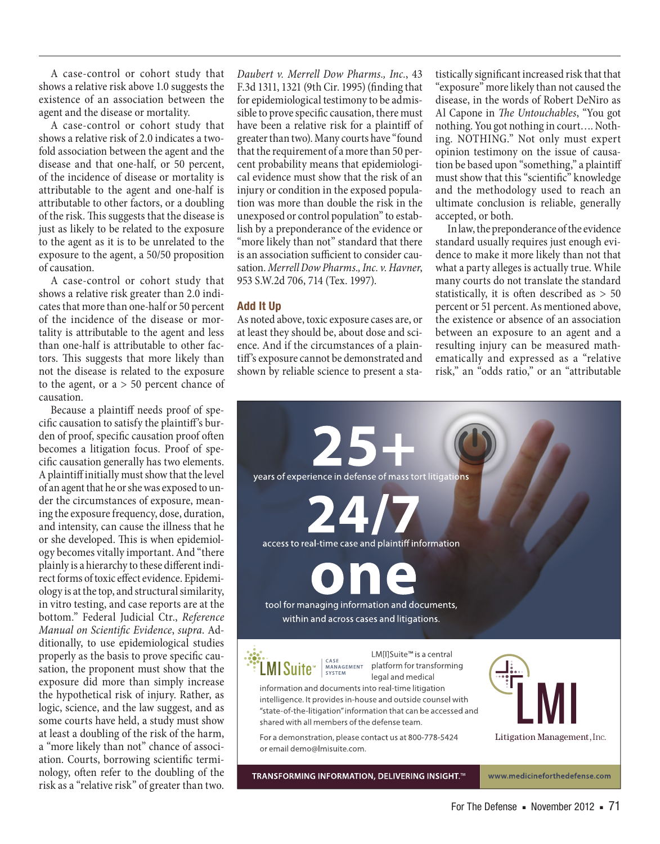A case-control or cohort study that shows a relative risk above 1.0 suggests the existence of an association between the agent and the disease or mortality.

A case-control or cohort study that shows a relative risk of 2.0 indicates a twofold association between the agent and the disease and that one-half, or 50 percent, of the incidence of disease or mortality is attributable to the agent and one-half is attributable to other factors, or a doubling of the risk. This suggests that the disease is just as likely to be related to the exposure to the agent as it is to be unrelated to the exposure to the agent, a 50/50 proposition of causation.

A case-control or cohort study that shows a relative risk greater than 2.0 indicates that more than one-half or 50 percent of the incidence of the disease or mortality is attributable to the agent and less than one-half is attributable to other factors. This suggests that more likely than not the disease is related to the exposure to the agent, or  $a > 50$  percent chance of causation.

Because a plaintiff needs proof of specific causation to satisfy the plaintiff's burden of proof, specific causation proof often becomes a litigation focus. Proof of specific causation generally has two elements. A plaintiff initially must show that the level of an agent that he or she was exposed to under the circumstances of exposure, meaning the exposure frequency, dose, duration, and intensity, can cause the illness that he or she developed. This is when epidemiology becomes vitally important. And "there plainly is a hierarchy to these different indirect forms of toxic effect evidence. Epidemiology is at the top, and structural similarity, in vitro testing, and case reports are at the bottom." Federal Judicial Ctr., *Reference Manual on Scientific Evidence*, *supra*. Additionally, to use epidemiological studies properly as the basis to prove specific causation, the proponent must show that the exposure did more than simply increase the hypothetical risk of injury. Rather, as logic, science, and the law suggest, and as some courts have held, a study must show at least a doubling of the risk of the harm, a "more likely than not" chance of association. Courts, borrowing scientific terminology, often refer to the doubling of the risk as a "relative risk" of greater than two.

*Daubert v. Merrell Dow Pharms., Inc.*, 43 F.3d 1311, 1321 (9th Cir. 1995) (finding that for epidemiological testimony to be admissible to prove specific causation, there must have been a relative risk for a plaintiff of greater than two). Many courts have "found that the requirement of a more than 50 percent probability means that epidemiological evidence must show that the risk of an injury or condition in the exposed population was more than double the risk in the unexposed or control population" to establish by a preponderance of the evidence or "more likely than not" standard that there is an association sufficient to consider causation. *Merrell Dow Pharms., Inc. v. Havner*, 953 S.W.2d 706, 714 (Tex. 1997).

## **Add It Up**

As noted above, toxic exposure cases are, or at least they should be, about dose and science. And if the circumstances of a plaintiff's exposure cannot be demonstrated and shown by reliable science to present a statistically significant increased risk that that "exposure" more likely than not caused the disease, in the words of Robert DeNiro as Al Capone in *The Untouchables*, "You got nothing. You got nothing in court…. Nothing. NOTHING." Not only must expert opinion testimony on the issue of causation be based upon "something," a plaintiff must show that this "scientific" knowledge and the methodology used to reach an ultimate conclusion is reliable, generally accepted, or both.

In law, the preponderance of the evidence standard usually requires just enough evidence to make it more likely than not that what a party alleges is actually true. While many courts do not translate the standard statistically, it is often described as > 50 percent or 51 percent. As mentioned above, the existence or absence of an association between an exposure to an agent and a resulting injury can be measured mathematically and expressed as a "relative risk," an "odds ratio," or an "attributable



For The Defense ■ November 2012 ■ 71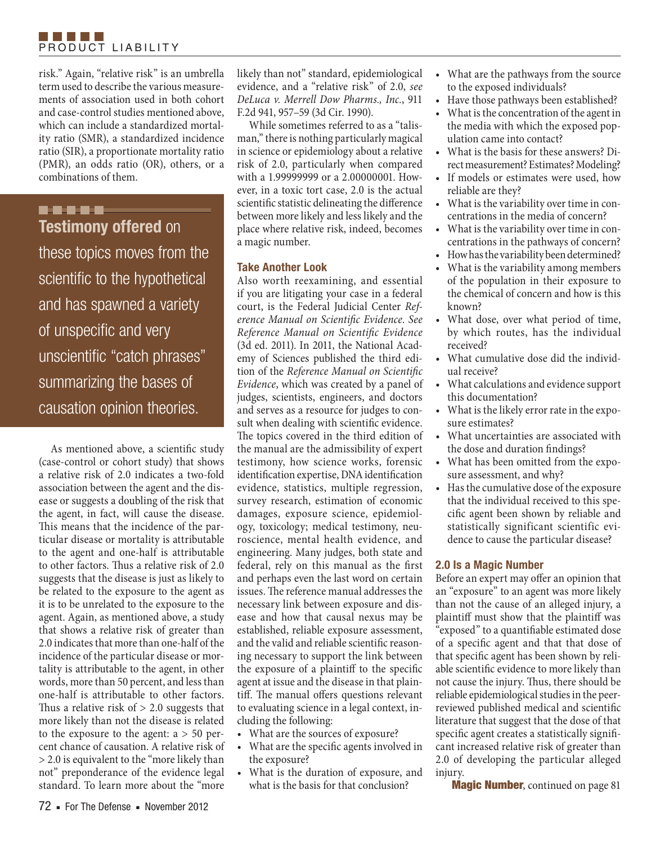risk." Again, "relative risk" is an umbrella term used to describe the various measurements of association used in both cohort and case-control studies mentioned above, which can include a standardized mortality ratio (SMR), a standardized incidence ratio (SIR), a proportionate mortality ratio (PMR), an odds ratio (OR), others, or a combinations of them.

# -----**Testimony offered** on

these topics moves from the scientific to the hypothetical and has spawned a variety of unspecific and very unscientific "catch phrases" summarizing the bases of causation opinion theories.

As mentioned above, a scientific study (case-control or cohort study) that shows a relative risk of 2.0 indicates a two-fold association between the agent and the disease or suggests a doubling of the risk that the agent, in fact, will cause the disease. This means that the incidence of the particular disease or mortality is attributable to the agent and one-half is attributable to other factors. Thus a relative risk of 2.0 suggests that the disease is just as likely to be related to the exposure to the agent as it is to be unrelated to the exposure to the agent. Again, as mentioned above, a study that shows a relative risk of greater than 2.0 indicates that more than one-half of the incidence of the particular disease or mortality is attributable to the agent, in other words, more than 50 percent, and less than one-half is attributable to other factors. Thus a relative risk of  $> 2.0$  suggests that more likely than not the disease is related to the exposure to the agent:  $a > 50$  percent chance of causation. A relative risk of > 2.0 is equivalent to the "more likely than not" preponderance of the evidence legal standard. To learn more about the "more

likely than not" standard, epidemiological evidence, and a "relative risk" of 2.0, *see DeLuca v. Merrell Dow Pharms., Inc.*, 911 F.2d 941, 957–59 (3d Cir. 1990).

While sometimes referred to as a "talisman," there is nothing particularly magical in science or epidemiology about a relative risk of 2.0, particularly when compared with a 1.99999999 or a 2.00000001. However, in a toxic tort case, 2.0 is the actual scientific statistic delineating the difference between more likely and less likely and the place where relative risk, indeed, becomes a magic number.

# **Take Another Look**

Also worth reexamining, and essential if you are litigating your case in a federal court, is the Federal Judicial Center *Reference Manual on Scientific Evidence*. *See Reference Manual on Scientific Evidence* (3d ed. 2011). In 2011, the National Academy of Sciences published the third edition of the *Reference Manual on Scientific Evidence*, which was created by a panel of judges, scientists, engineers, and doctors and serves as a resource for judges to consult when dealing with scientific evidence. The topics covered in the third edition of the manual are the admissibility of expert testimony, how science works, forensic identification expertise, DNA identification evidence, statistics, multiple regression, survey research, estimation of economic damages, exposure science, epidemiology, toxicology; medical testimony, neuroscience, mental health evidence, and engineering. Many judges, both state and federal, rely on this manual as the first and perhaps even the last word on certain issues. The reference manual addresses the necessary link between exposure and disease and how that causal nexus may be established, reliable exposure assessment, and the valid and reliable scientific reasoning necessary to support the link between the exposure of a plaintiff to the specific agent at issue and the disease in that plaintiff. The manual offers questions relevant to evaluating science in a legal context, including the following:

- What are the sources of exposure?
- • What are the specific agents involved in the exposure?
- • What is the duration of exposure, and what is the basis for that conclusion?
- • What are the pathways from the source to the exposed individuals?
- Have those pathways been established?
- What is the concentration of the agent in the media with which the exposed population came into contact?
- • What is the basis for these answers? Direct measurement? Estimates? Modeling?
- If models or estimates were used, how reliable are they?
- What is the variability over time in concentrations in the media of concern?
- What is the variability over time in concentrations in the pathways of concern?
- How has the variability been determined?
- What is the variability among members of the population in their exposure to the chemical of concern and how is this known?
- • What dose, over what period of time, by which routes, has the individual received?
- What cumulative dose did the individual receive?
- What calculations and evidence support this documentation?
- What is the likely error rate in the exposure estimates?
- • What uncertainties are associated with the dose and duration findings?
- What has been omitted from the exposure assessment, and why?
- Has the cumulative dose of the exposure that the individual received to this specific agent been shown by reliable and statistically significant scientific evidence to cause the particular disease?

# **2.0 Is a Magic Number**

Before an expert may offer an opinion that an "exposure" to an agent was more likely than not the cause of an alleged injury, a plaintiff must show that the plaintiff was "exposed" to a quantifiable estimated dose of a specific agent and that that dose of that specific agent has been shown by reliable scientific evidence to more likely than not cause the injury. Thus, there should be reliable epidemiological studies in the peerreviewed published medical and scientific literature that suggest that the dose of that specific agent creates a statistically significant increased relative risk of greater than 2.0 of developing the particular alleged injury.

Magic Number, continued on page 81